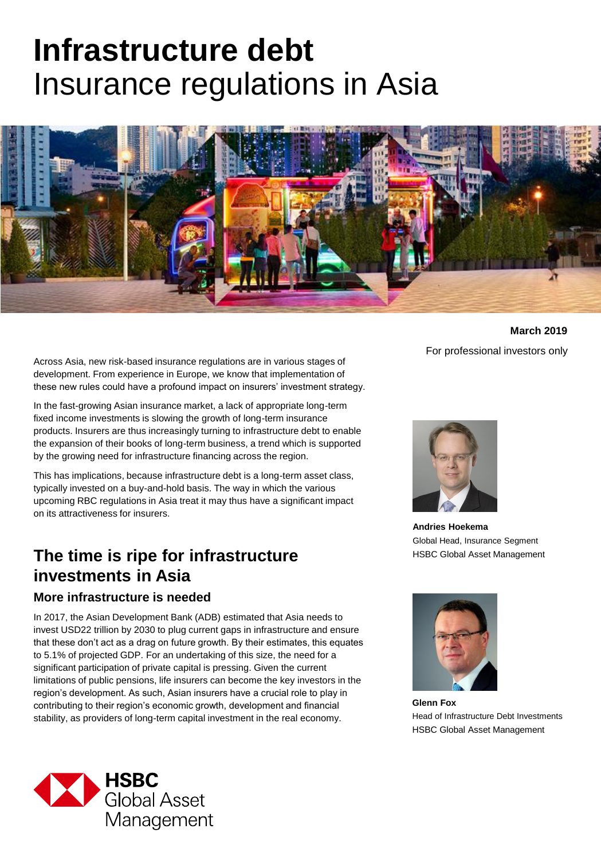# **Infrastructure debt**  Insurance regulations in Asia



Across Asia, new risk-based insurance regulations are in various stages of development. From experience in Europe, we know that implementation of these new rules could have a profound impact on insurers' investment strategy.

In the fast-growing Asian insurance market, a lack of appropriate long-term fixed income investments is slowing the growth of long-term insurance products. Insurers are thus increasingly turning to infrastructure debt to enable the expansion of their books of long-term business, a trend which is supported by the growing need for infrastructure financing across the region.

This has implications, because infrastructure debt is a long-term asset class, typically invested on a buy-and-hold basis. The way in which the various upcoming RBC regulations in Asia treat it may thus have a significant impact on its attractiveness for insurers.

# **The time is ripe for infrastructure investments in Asia**

### **More infrastructure is needed**

In 2017, the Asian Development Bank (ADB) estimated that Asia needs to invest USD22 trillion by 2030 to plug current gaps in infrastructure and ensure that these don't act as a drag on future growth. By their estimates, this equates to 5.1% of projected GDP. For an undertaking of this size, the need for a significant participation of private capital is pressing. Given the current limitations of public pensions, life insurers can become the key investors in the region's development. As such, Asian insurers have a crucial role to play in contributing to their region's economic growth, development and financial stability, as providers of long-term capital investment in the real economy.



**March 2019** For professional investors only



**Andries Hoekema** Global Head, Insurance Segment HSBC Global Asset Management



**Glenn Fox** Head of Infrastructure Debt Investments HSBC Global Asset Management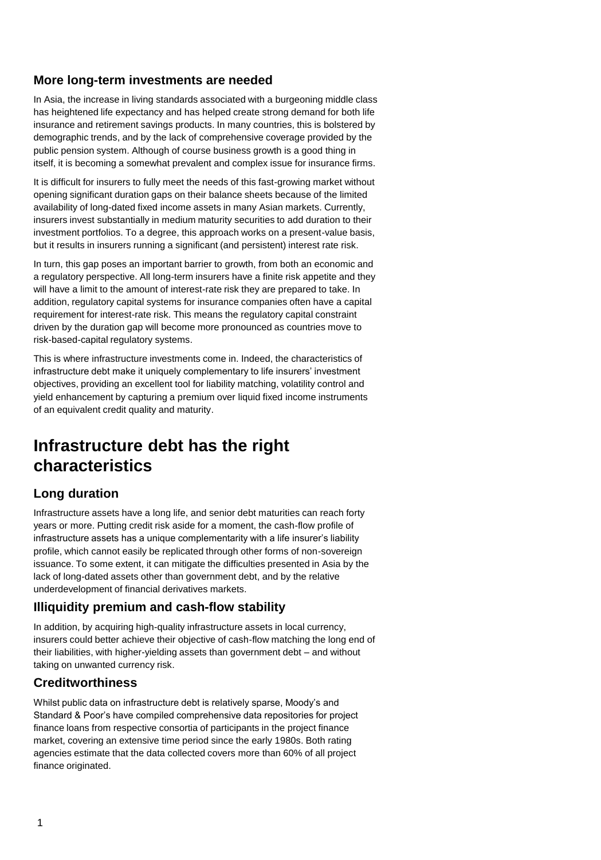## **More long-term investments are needed**

In Asia, the increase in living standards associated with a burgeoning middle class has heightened life expectancy and has helped create strong demand for both life insurance and retirement savings products. In many countries, this is bolstered by demographic trends, and by the lack of comprehensive coverage provided by the public pension system. Although of course business growth is a good thing in itself, it is becoming a somewhat prevalent and complex issue for insurance firms.

It is difficult for insurers to fully meet the needs of this fast-growing market without opening significant duration gaps on their balance sheets because of the limited availability of long-dated fixed income assets in many Asian markets. Currently, insurers invest substantially in medium maturity securities to add duration to their investment portfolios. To a degree, this approach works on a present-value basis, but it results in insurers running a significant (and persistent) interest rate risk.

In turn, this gap poses an important barrier to growth, from both an economic and a regulatory perspective. All long-term insurers have a finite risk appetite and they will have a limit to the amount of interest-rate risk they are prepared to take. In addition, regulatory capital systems for insurance companies often have a capital requirement for interest-rate risk. This means the regulatory capital constraint driven by the duration gap will become more pronounced as countries move to risk-based-capital regulatory systems.

This is where infrastructure investments come in. Indeed, the characteristics of infrastructure debt make it uniquely complementary to life insurers' investment objectives, providing an excellent tool for liability matching, volatility control and yield enhancement by capturing a premium over liquid fixed income instruments of an equivalent credit quality and maturity.

# **Infrastructure debt has the right characteristics**

## **Long duration**

Infrastructure assets have a long life, and senior debt maturities can reach forty years or more. Putting credit risk aside for a moment, the cash-flow profile of infrastructure assets has a unique complementarity with a life insurer's liability profile, which cannot easily be replicated through other forms of non-sovereign issuance. To some extent, it can mitigate the difficulties presented in Asia by the lack of long-dated assets other than government debt, and by the relative underdevelopment of financial derivatives markets.

### **Illiquidity premium and cash-flow stability**

In addition, by acquiring high-quality infrastructure assets in local currency, insurers could better achieve their objective of cash-flow matching the long end of their liabilities, with higher-yielding assets than government debt – and without taking on unwanted currency risk.

## **Creditworthiness**

Whilst public data on infrastructure debt is relatively sparse, Moody's and Standard & Poor's have compiled comprehensive data repositories for project finance loans from respective consortia of participants in the project finance market, covering an extensive time period since the early 1980s. Both rating agencies estimate that the data collected covers more than 60% of all project finance originated.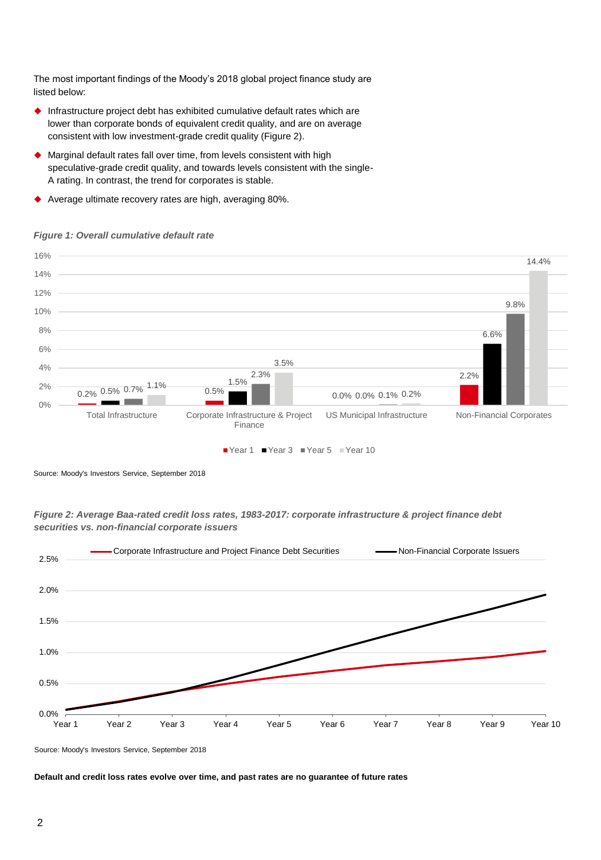The most important findings of the Moody's 2018 global project finance study are listed below:

- Infrastructure project debt has exhibited cumulative default rates which are lower than corporate bonds of equivalent credit quality, and are on average consistent with low investment-grade credit quality (Figure 2).
- Marginal default rates fall over time, from levels consistent with high speculative-grade credit quality, and towards levels consistent with the single-A rating. In contrast, the trend for corporates is stable.
- Average ultimate recovery rates are high, averaging 80%.

#### *Figure 1: Overall cumulative default rate*



Source: Moody's Investors Service, September 2018

#### *Figure 2: Average Baa-rated credit loss rates, 1983-2017: corporate infrastructure & project finance debt securities vs. non-financial corporate issuers*



Source: Moody's Investors Service, September 2018

#### **Default and credit loss rates evolve over time, and past rates are no guarantee of future rates**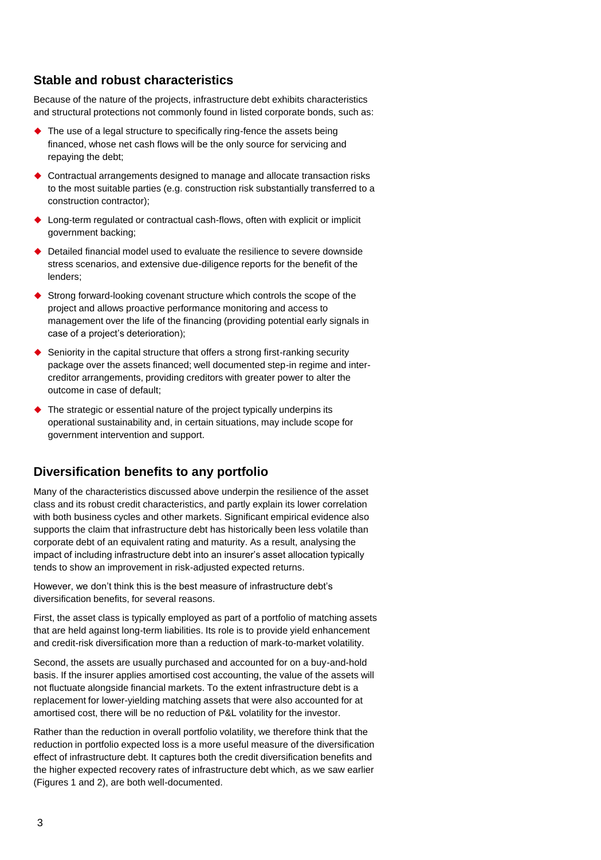## **Stable and robust characteristics**

Because of the nature of the projects, infrastructure debt exhibits characteristics and structural protections not commonly found in listed corporate bonds, such as:

- ◆ The use of a legal structure to specifically ring-fence the assets being financed, whose net cash flows will be the only source for servicing and repaying the debt;
- Contractual arrangements designed to manage and allocate transaction risks to the most suitable parties (e.g. construction risk substantially transferred to a construction contractor);
- ◆ Long-term regulated or contractual cash-flows, often with explicit or implicit government backing;
- Detailed financial model used to evaluate the resilience to severe downside stress scenarios, and extensive due-diligence reports for the benefit of the lenders;
- Strong forward-looking covenant structure which controls the scope of the project and allows proactive performance monitoring and access to management over the life of the financing (providing potential early signals in case of a project's deterioration);
- $\blacklozenge$  Seniority in the capital structure that offers a strong first-ranking security package over the assets financed; well documented step-in regime and intercreditor arrangements, providing creditors with greater power to alter the outcome in case of default;
- The strategic or essential nature of the project typically underpins its operational sustainability and, in certain situations, may include scope for government intervention and support.

### **Diversification benefits to any portfolio**

Many of the characteristics discussed above underpin the resilience of the asset class and its robust credit characteristics, and partly explain its lower correlation with both business cycles and other markets. Significant empirical evidence also supports the claim that infrastructure debt has historically been less volatile than corporate debt of an equivalent rating and maturity. As a result, analysing the impact of including infrastructure debt into an insurer's asset allocation typically tends to show an improvement in risk-adjusted expected returns.

However, we don't think this is the best measure of infrastructure debt's diversification benefits, for several reasons.

First, the asset class is typically employed as part of a portfolio of matching assets that are held against long-term liabilities. Its role is to provide yield enhancement and credit-risk diversification more than a reduction of mark-to-market volatility.

Second, the assets are usually purchased and accounted for on a buy-and-hold basis. If the insurer applies amortised cost accounting, the value of the assets will not fluctuate alongside financial markets. To the extent infrastructure debt is a replacement for lower-yielding matching assets that were also accounted for at amortised cost, there will be no reduction of P&L volatility for the investor.

Rather than the reduction in overall portfolio volatility, we therefore think that the reduction in portfolio expected loss is a more useful measure of the diversification effect of infrastructure debt. It captures both the credit diversification benefits and the higher expected recovery rates of infrastructure debt which, as we saw earlier (Figures 1 and 2), are both well-documented.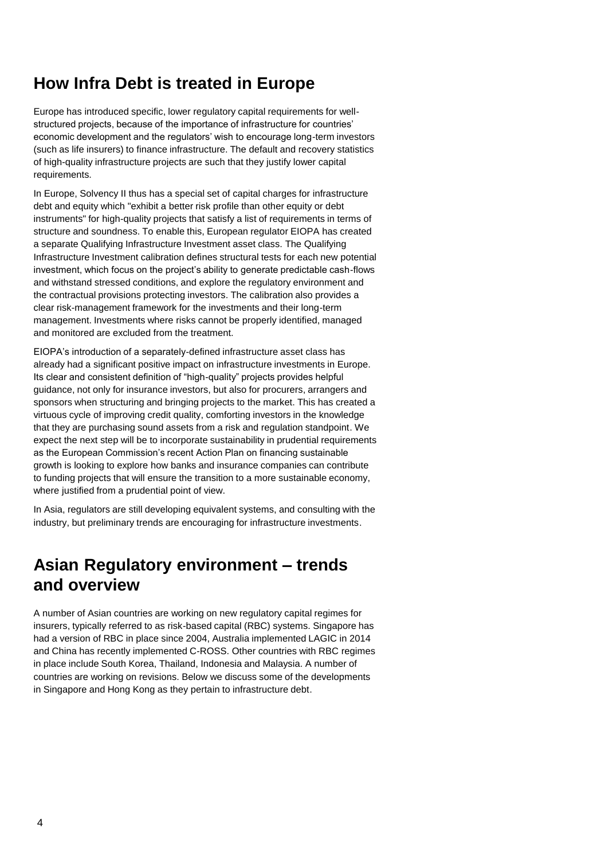# **How Infra Debt is treated in Europe**

Europe has introduced specific, lower regulatory capital requirements for wellstructured projects, because of the importance of infrastructure for countries' economic development and the regulators' wish to encourage long-term investors (such as life insurers) to finance infrastructure. The default and recovery statistics of high-quality infrastructure projects are such that they justify lower capital requirements.

In Europe, Solvency II thus has a special set of capital charges for infrastructure debt and equity which "exhibit a better risk profile than other equity or debt instruments" for high-quality projects that satisfy a list of requirements in terms of structure and soundness. To enable this, European regulator EIOPA has created a separate Qualifying Infrastructure Investment asset class. The Qualifying Infrastructure Investment calibration defines structural tests for each new potential investment, which focus on the project's ability to generate predictable cash-flows and withstand stressed conditions, and explore the regulatory environment and the contractual provisions protecting investors. The calibration also provides a clear risk-management framework for the investments and their long-term management. Investments where risks cannot be properly identified, managed and monitored are excluded from the treatment.

EIOPA's introduction of a separately-defined infrastructure asset class has already had a significant positive impact on infrastructure investments in Europe. Its clear and consistent definition of "high-quality" projects provides helpful guidance, not only for insurance investors, but also for procurers, arrangers and sponsors when structuring and bringing projects to the market. This has created a virtuous cycle of improving credit quality, comforting investors in the knowledge that they are purchasing sound assets from a risk and regulation standpoint. We expect the next step will be to incorporate sustainability in prudential requirements as the European Commission's recent Action Plan on financing sustainable growth is looking to explore how banks and insurance companies can contribute to funding projects that will ensure the transition to a more sustainable economy, where justified from a prudential point of view.

In Asia, regulators are still developing equivalent systems, and consulting with the industry, but preliminary trends are encouraging for infrastructure investments.

# **Asian Regulatory environment – trends and overview**

A number of Asian countries are working on new regulatory capital regimes for insurers, typically referred to as risk-based capital (RBC) systems. Singapore has had a version of RBC in place since 2004, Australia implemented LAGIC in 2014 and China has recently implemented C-ROSS. Other countries with RBC regimes in place include South Korea, Thailand, Indonesia and Malaysia. A number of countries are working on revisions. Below we discuss some of the developments in Singapore and Hong Kong as they pertain to infrastructure debt.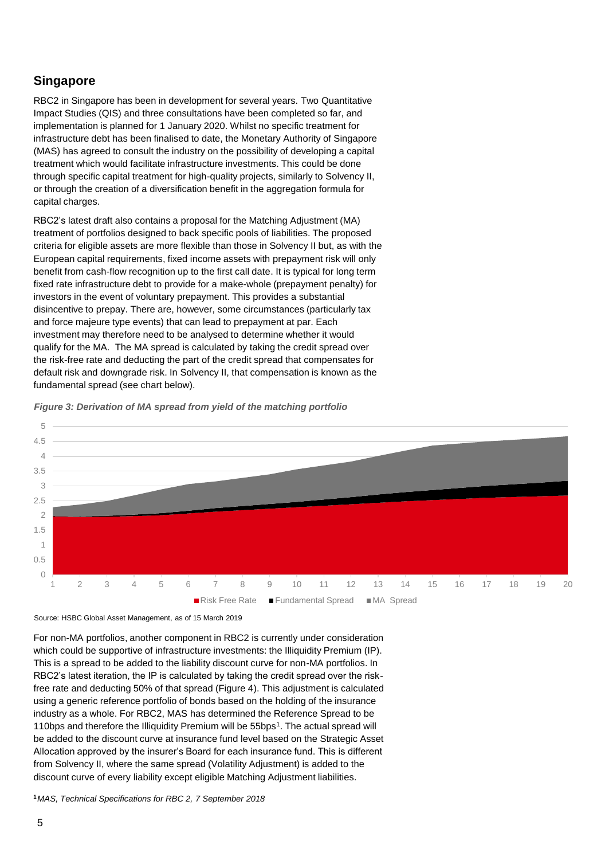#### **Singapore**

RBC2 in Singapore has been in development for several years. Two Quantitative Impact Studies (QIS) and three consultations have been completed so far, and implementation is planned for 1 January 2020. Whilst no specific treatment for infrastructure debt has been finalised to date, the Monetary Authority of Singapore (MAS) has agreed to consult the industry on the possibility of developing a capital treatment which would facilitate infrastructure investments. This could be done through specific capital treatment for high-quality projects, similarly to Solvency II, or through the creation of a diversification benefit in the aggregation formula for capital charges.

RBC2's latest draft also contains a proposal for the Matching Adjustment (MA) treatment of portfolios designed to back specific pools of liabilities. The proposed criteria for eligible assets are more flexible than those in Solvency II but, as with the European capital requirements, fixed income assets with prepayment risk will only benefit from cash-flow recognition up to the first call date. It is typical for long term fixed rate infrastructure debt to provide for a make-whole (prepayment penalty) for investors in the event of voluntary prepayment. This provides a substantial disincentive to prepay. There are, however, some circumstances (particularly tax and force majeure type events) that can lead to prepayment at par. Each investment may therefore need to be analysed to determine whether it would qualify for the MA. The MA spread is calculated by taking the credit spread over the risk-free rate and deducting the part of the credit spread that compensates for default risk and downgrade risk. In Solvency II, that compensation is known as the fundamental spread (see chart below).



*Figure 3: Derivation of MA spread from yield of the matching portfolio*

Source: HSBC Global Asset Management, as of 15 March 2019

For non-MA portfolios, another component in RBC2 is currently under consideration which could be supportive of infrastructure investments: the Illiquidity Premium (IP). This is a spread to be added to the liability discount curve for non-MA portfolios. In RBC2's latest iteration, the IP is calculated by taking the credit spread over the riskfree rate and deducting 50% of that spread (Figure 4). This adjustment is calculated using a generic reference portfolio of bonds based on the holding of the insurance industry as a whole. For RBC2, MAS has determined the Reference Spread to be 110bps and therefore the Illiquidity Premium will be 55bps<sup>1</sup>. The actual spread will be added to the discount curve at insurance fund level based on the Strategic Asset Allocation approved by the insurer's Board for each insurance fund. This is different from Solvency II, where the same spread (Volatility Adjustment) is added to the discount curve of every liability except eligible Matching Adjustment liabilities.

**1** *MAS, Technical Specifications for RBC 2, 7 September 2018*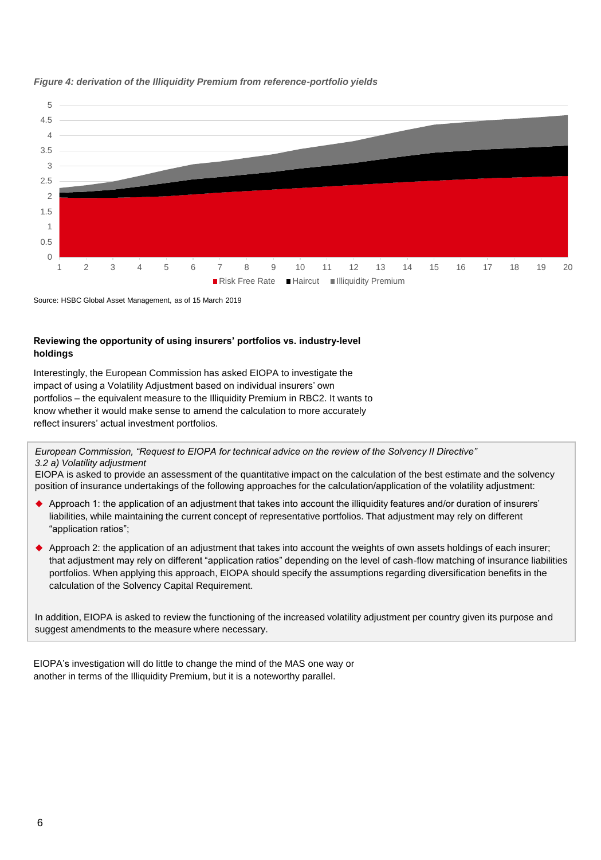

#### *Figure 4: derivation of the Illiquidity Premium from reference-portfolio yields*

Source: HSBC Global Asset Management, as of 15 March 2019

## **Reviewing the opportunity of using insurers' portfolios vs. industry-level holdings**

Interestingly, the European Commission has asked EIOPA to investigate the impact of using a Volatility Adjustment based on individual insurers' own portfolios – the equivalent measure to the Illiquidity Premium in RBC2. It wants to know whether it would make sense to amend the calculation to more accurately reflect insurers' actual investment portfolios.

#### *European Commission, "Request to EIOPA for technical advice on the review of the Solvency II Directive" 3.2 a) Volatility adjustment*

EIOPA is asked to provide an assessment of the quantitative impact on the calculation of the best estimate and the solvency position of insurance undertakings of the following approaches for the calculation/application of the volatility adjustment:

- Approach 1: the application of an adjustment that takes into account the illiquidity features and/or duration of insurers' liabilities, while maintaining the current concept of representative portfolios. That adjustment may rely on different "application ratios";
- Approach 2: the application of an adjustment that takes into account the weights of own assets holdings of each insurer; that adjustment may rely on different "application ratios" depending on the level of cash-flow matching of insurance liabilities portfolios. When applying this approach, EIOPA should specify the assumptions regarding diversification benefits in the calculation of the Solvency Capital Requirement.

In addition, EIOPA is asked to review the functioning of the increased volatility adjustment per country given its purpose and suggest amendments to the measure where necessary.

EIOPA's investigation will do little to change the mind of the MAS one way or another in terms of the Illiquidity Premium, but it is a noteworthy parallel.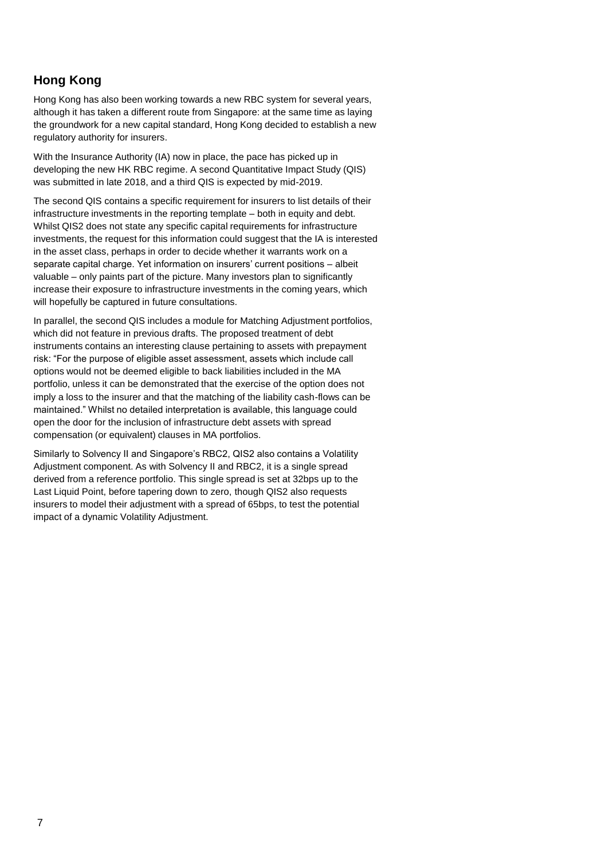## **Hong Kong**

Hong Kong has also been working towards a new RBC system for several years, although it has taken a different route from Singapore: at the same time as laying the groundwork for a new capital standard, Hong Kong decided to establish a new regulatory authority for insurers.

With the Insurance Authority (IA) now in place, the pace has picked up in developing the new HK RBC regime. A second Quantitative Impact Study (QIS) was submitted in late 2018, and a third QIS is expected by mid-2019.

The second QIS contains a specific requirement for insurers to list details of their infrastructure investments in the reporting template – both in equity and debt. Whilst QIS2 does not state any specific capital requirements for infrastructure investments, the request for this information could suggest that the IA is interested in the asset class, perhaps in order to decide whether it warrants work on a separate capital charge. Yet information on insurers' current positions – albeit valuable – only paints part of the picture. Many investors plan to significantly increase their exposure to infrastructure investments in the coming years, which will hopefully be captured in future consultations.

In parallel, the second QIS includes a module for Matching Adjustment portfolios, which did not feature in previous drafts. The proposed treatment of debt instruments contains an interesting clause pertaining to assets with prepayment risk: "For the purpose of eligible asset assessment, assets which include call options would not be deemed eligible to back liabilities included in the MA portfolio, unless it can be demonstrated that the exercise of the option does not imply a loss to the insurer and that the matching of the liability cash-flows can be maintained." Whilst no detailed interpretation is available, this language could open the door for the inclusion of infrastructure debt assets with spread compensation (or equivalent) clauses in MA portfolios.

Similarly to Solvency II and Singapore's RBC2, QIS2 also contains a Volatility Adjustment component. As with Solvency II and RBC2, it is a single spread derived from a reference portfolio. This single spread is set at 32bps up to the Last Liquid Point, before tapering down to zero, though QIS2 also requests insurers to model their adjustment with a spread of 65bps, to test the potential impact of a dynamic Volatility Adjustment.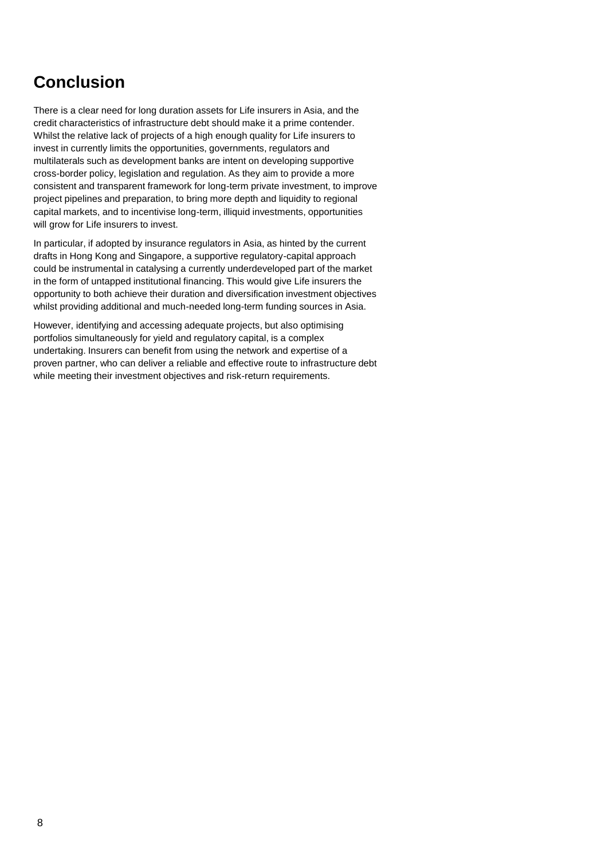# **Conclusion**

There is a clear need for long duration assets for Life insurers in Asia, and the credit characteristics of infrastructure debt should make it a prime contender. Whilst the relative lack of projects of a high enough quality for Life insurers to invest in currently limits the opportunities, governments, regulators and multilaterals such as development banks are intent on developing supportive cross-border policy, legislation and regulation. As they aim to provide a more consistent and transparent framework for long-term private investment, to improve project pipelines and preparation, to bring more depth and liquidity to regional capital markets, and to incentivise long-term, illiquid investments, opportunities will grow for Life insurers to invest.

In particular, if adopted by insurance regulators in Asia, as hinted by the current drafts in Hong Kong and Singapore, a supportive regulatory-capital approach could be instrumental in catalysing a currently underdeveloped part of the market in the form of untapped institutional financing. This would give Life insurers the opportunity to both achieve their duration and diversification investment objectives whilst providing additional and much-needed long-term funding sources in Asia.

However, identifying and accessing adequate projects, but also optimising portfolios simultaneously for yield and regulatory capital, is a complex undertaking. Insurers can benefit from using the network and expertise of a proven partner, who can deliver a reliable and effective route to infrastructure debt while meeting their investment objectives and risk-return requirements.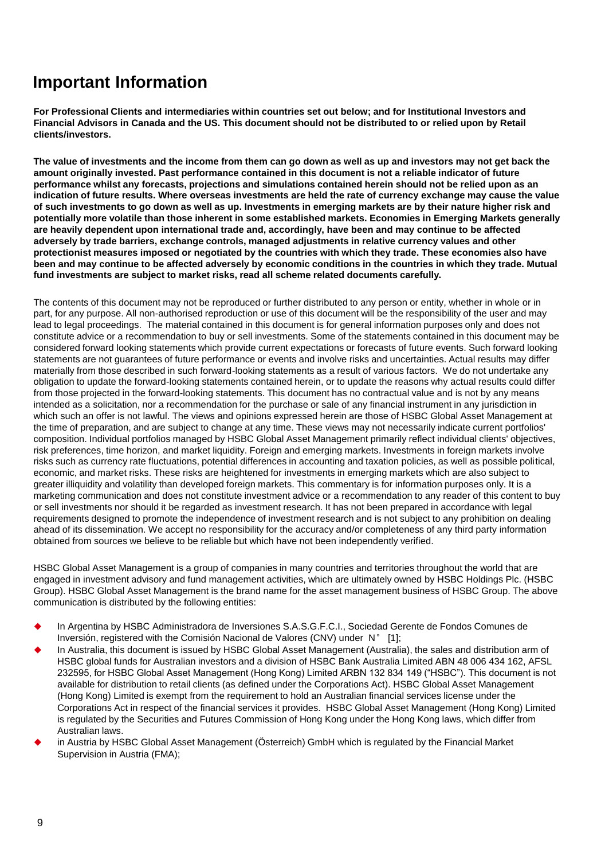# **Important Information**

**For Professional Clients and intermediaries within countries set out below; and for Institutional Investors and Financial Advisors in Canada and the US. This document should not be distributed to or relied upon by Retail clients/investors.**

**The value of investments and the income from them can go down as well as up and investors may not get back the amount originally invested. Past performance contained in this document is not a reliable indicator of future performance whilst any forecasts, projections and simulations contained herein should not be relied upon as an indication of future results. Where overseas investments are held the rate of currency exchange may cause the value of such investments to go down as well as up. Investments in emerging markets are by their nature higher risk and potentially more volatile than those inherent in some established markets. Economies in Emerging Markets generally are heavily dependent upon international trade and, accordingly, have been and may continue to be affected adversely by trade barriers, exchange controls, managed adjustments in relative currency values and other protectionist measures imposed or negotiated by the countries with which they trade. These economies also have been and may continue to be affected adversely by economic conditions in the countries in which they trade. Mutual fund investments are subject to market risks, read all scheme related documents carefully.**

The contents of this document may not be reproduced or further distributed to any person or entity, whether in whole or in part, for any purpose. All non-authorised reproduction or use of this document will be the responsibility of the user and may lead to legal proceedings. The material contained in this document is for general information purposes only and does not constitute advice or a recommendation to buy or sell investments. Some of the statements contained in this document may be considered forward looking statements which provide current expectations or forecasts of future events. Such forward looking statements are not guarantees of future performance or events and involve risks and uncertainties. Actual results may differ materially from those described in such forward-looking statements as a result of various factors. We do not undertake any obligation to update the forward-looking statements contained herein, or to update the reasons why actual results could differ from those projected in the forward-looking statements. This document has no contractual value and is not by any means intended as a solicitation, nor a recommendation for the purchase or sale of any financial instrument in any jurisdiction in which such an offer is not lawful. The views and opinions expressed herein are those of HSBC Global Asset Management at the time of preparation, and are subject to change at any time. These views may not necessarily indicate current portfolios' composition. Individual portfolios managed by HSBC Global Asset Management primarily reflect individual clients' objectives, risk preferences, time horizon, and market liquidity. Foreign and emerging markets. Investments in foreign markets involve risks such as currency rate fluctuations, potential differences in accounting and taxation policies, as well as possible political, economic, and market risks. These risks are heightened for investments in emerging markets which are also subject to greater illiquidity and volatility than developed foreign markets. This commentary is for information purposes only. It is a marketing communication and does not constitute investment advice or a recommendation to any reader of this content to buy or sell investments nor should it be regarded as investment research. It has not been prepared in accordance with legal requirements designed to promote the independence of investment research and is not subject to any prohibition on dealing ahead of its dissemination. We accept no responsibility for the accuracy and/or completeness of any third party information obtained from sources we believe to be reliable but which have not been independently verified.

HSBC Global Asset Management is a group of companies in many countries and territories throughout the world that are engaged in investment advisory and fund management activities, which are ultimately owned by HSBC Holdings Plc. (HSBC Group). HSBC Global Asset Management is the brand name for the asset management business of HSBC Group. The above communication is distributed by the following entities:

- In Argentina by HSBC Administradora de Inversiones S.A.S.G.F.C.I., Sociedad Gerente de Fondos Comunes de Inversión, registered with the Comisión Nacional de Valores (CNV) under N° [1];
- In Australia, this document is issued by HSBC Global Asset Management (Australia), the sales and distribution arm of HSBC global funds for Australian investors and a division of HSBC Bank Australia Limited ABN 48 006 434 162, AFSL 232595, for HSBC Global Asset Management (Hong Kong) Limited ARBN 132 834 149 ("HSBC"). This document is not available for distribution to retail clients (as defined under the Corporations Act). HSBC Global Asset Management (Hong Kong) Limited is exempt from the requirement to hold an Australian financial services license under the Corporations Act in respect of the financial services it provides. HSBC Global Asset Management (Hong Kong) Limited is regulated by the Securities and Futures Commission of Hong Kong under the Hong Kong laws, which differ from Australian laws.
- in Austria by HSBC Global Asset Management (Österreich) GmbH which is regulated by the Financial Market Supervision in Austria (FMA);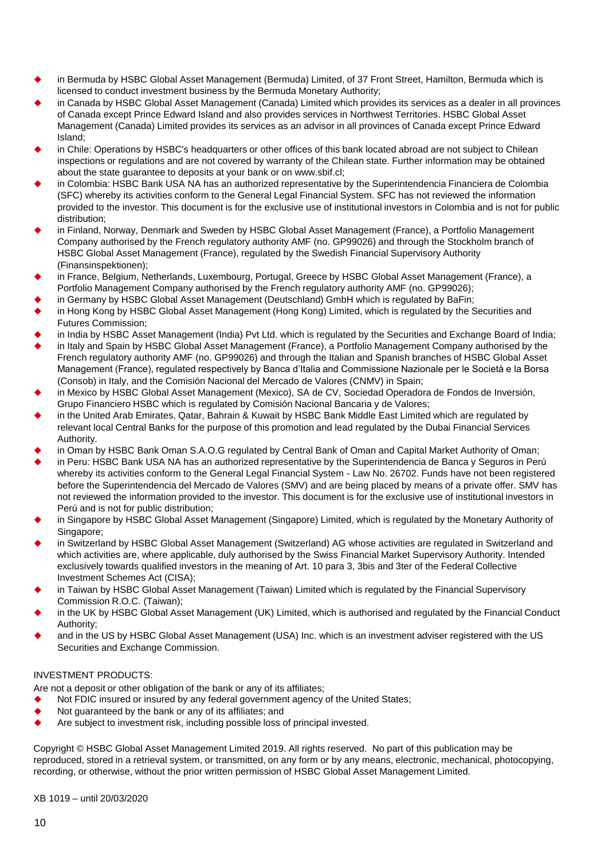- in Bermuda by HSBC Global Asset Management (Bermuda) Limited, of 37 Front Street, Hamilton, Bermuda which is licensed to conduct investment business by the Bermuda Monetary Authority;
- in Canada by HSBC Global Asset Management (Canada) Limited which provides its services as a dealer in all provinces of Canada except Prince Edward Island and also provides services in Northwest Territories. HSBC Global Asset Management (Canada) Limited provides its services as an advisor in all provinces of Canada except Prince Edward Island;
- in Chile: Operations by HSBC's headquarters or other offices of this bank located abroad are not subject to Chilean inspections or regulations and are not covered by warranty of the Chilean state. Further information may be obtained about the state guarantee to deposits at your bank or on www.sbif.cl;
- in Colombia: HSBC Bank USA NA has an authorized representative by the Superintendencia Financiera de Colombia (SFC) whereby its activities conform to the General Legal Financial System. SFC has not reviewed the information provided to the investor. This document is for the exclusive use of institutional investors in Colombia and is not for public distribution;
- in Finland, Norway, Denmark and Sweden by HSBC Global Asset Management (France), a Portfolio Management Company authorised by the French regulatory authority AMF (no. GP99026) and through the Stockholm branch of HSBC Global Asset Management (France), regulated by the Swedish Financial Supervisory Authority (Finansinspektionen);
- in France, Belgium, Netherlands, Luxembourg, Portugal, Greece by HSBC Global Asset Management (France), a Portfolio Management Company authorised by the French regulatory authority AMF (no. GP99026);
- in Germany by HSBC Global Asset Management (Deutschland) GmbH which is regulated by BaFin;
- in Hong Kong by HSBC Global Asset Management (Hong Kong) Limited, which is regulated by the Securities and Futures Commission;
- in India by HSBC Asset Management (India) Pvt Ltd. which is regulated by the Securities and Exchange Board of India;
- in Italy and Spain by HSBC Global Asset Management (France), a Portfolio Management Company authorised by the French regulatory authority AMF (no. GP99026) and through the Italian and Spanish branches of HSBC Global Asset Management (France), regulated respectively by Banca d'Italia and Commissione Nazionale per le Società e la Borsa (Consob) in Italy, and the Comisión Nacional del Mercado de Valores (CNMV) in Spain;
- in Mexico by HSBC Global Asset Management (Mexico), SA de CV, Sociedad Operadora de Fondos de Inversión, Grupo Financiero HSBC which is regulated by Comisión Nacional Bancaria y de Valores;
- in the United Arab Emirates, Qatar, Bahrain & Kuwait by HSBC Bank Middle East Limited which are regulated by relevant local Central Banks for the purpose of this promotion and lead regulated by the Dubai Financial Services Authority.
- in Oman by HSBC Bank Oman S.A.O.G regulated by Central Bank of Oman and Capital Market Authority of Oman;
- in Peru: HSBC Bank USA NA has an authorized representative by the Superintendencia de Banca y Seguros in Perú whereby its activities conform to the General Legal Financial System - Law No. 26702. Funds have not been registered before the Superintendencia del Mercado de Valores (SMV) and are being placed by means of a private offer. SMV has not reviewed the information provided to the investor. This document is for the exclusive use of institutional investors in Perú and is not for public distribution;
- in Singapore by HSBC Global Asset Management (Singapore) Limited, which is regulated by the Monetary Authority of Singapore;
- in Switzerland by HSBC Global Asset Management (Switzerland) AG whose activities are regulated in Switzerland and which activities are, where applicable, duly authorised by the Swiss Financial Market Supervisory Authority. Intended exclusively towards qualified investors in the meaning of Art. 10 para 3, 3bis and 3ter of the Federal Collective Investment Schemes Act (CISA);
- in Taiwan by HSBC Global Asset Management (Taiwan) Limited which is regulated by the Financial Supervisory Commission R.O.C. (Taiwan);
- in the UK by HSBC Global Asset Management (UK) Limited, which is authorised and regulated by the Financial Conduct Authority;
- and in the US by HSBC Global Asset Management (USA) Inc. which is an investment adviser registered with the US Securities and Exchange Commission.

#### INVESTMENT PRODUCTS:

Are not a deposit or other obligation of the bank or any of its affiliates;

- Not FDIC insured or insured by any federal government agency of the United States;
- Not guaranteed by the bank or any of its affiliates; and
- $\blacklozenge$  Are subject to investment risk, including possible loss of principal invested.

Copyright © HSBC Global Asset Management Limited 2019. All rights reserved. No part of this publication may be reproduced, stored in a retrieval system, or transmitted, on any form or by any means, electronic, mechanical, photocopying, recording, or otherwise, without the prior written permission of HSBC Global Asset Management Limited.

XB 1019 – until 20/03/2020